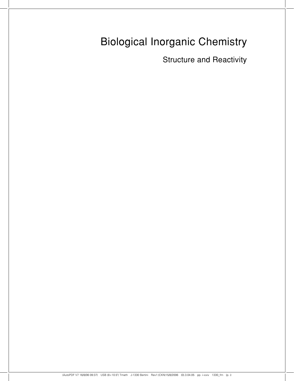# Biological Inorganic Chemistry

Structure and Reactivity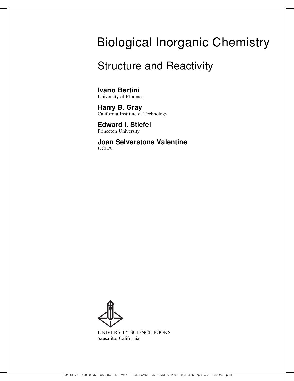# Biological Inorganic Chemistry

## Structure and Reactivity

Ivano Bertini University of Florence

Harry B. Gray California Institute of Technology

Edward I. Stiefel Princeton University

Joan Selverstone Valentine UCLA



UNIVERSITY SCIENCE BOOKS Sausalito, California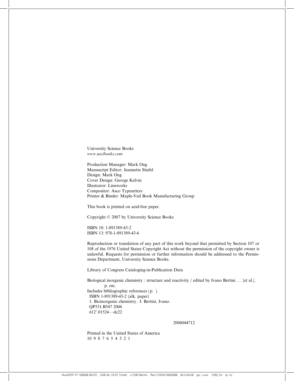University Science Books www.uscibooks.com

Production Manager: Mark Ong Manuscript Editor: Jeannette Stiefel Design: Mark Ong Cover Design: George Kelvin Illustrator: Lineworks Compositor: Asco Typesetters Printer & Binder: Maple-Vail Book Manufacturing Group

This book is printed on acid-free paper.

Copyright *6* 2007 by University Science Books

ISBN 10: 1-891389-43-2 ISBN 13: 978-1-891389-43-6

Reproduction or translation of any part of this work beyond that permitted by Section 107 or 108 of the 1976 United States Copyright Act without the permission of the copyright owner is unlawful. Requests for permission or further information should be addressed to the Permissions Department, University Science Books.

Library of Congress Cataloging-in-Publication Data

Biological inorganic chemistry : structure and reactivity / edited by Ivano Bertini . . . [et al.]. p. cm. Includes bibliographic references (p. ). ISBN 1-891389-43-2 (alk. paper) 1. Bioinorganic chemistry. I. Bertini, Ivano. QP531.B547 2006 612'.01524—dc22

#### 2006044712

Printed in the United States of America 10 9 8 7 6 5 4 3 2 1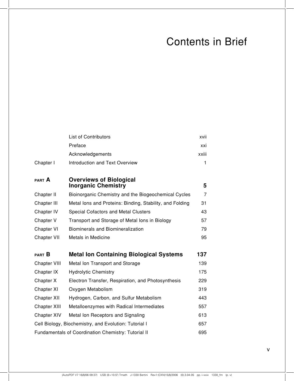# Contents in Brief

|                     | <b>List of Contributors</b>                                  | xvii           |
|---------------------|--------------------------------------------------------------|----------------|
|                     | Preface                                                      | xxi            |
|                     | Acknowledgements                                             | xxiii          |
| Chapter I           | <b>Introduction and Text Overview</b>                        | $\mathbf{1}$   |
| PART <sub>A</sub>   | <b>Overviews of Biological</b><br><b>Inorganic Chemistry</b> | 5              |
| Chapter II          | Bioinorganic Chemistry and the Biogeochemical Cycles         | $\overline{7}$ |
| Chapter III         | Metal lons and Proteins: Binding, Stability, and Folding     | 31             |
| Chapter IV          | <b>Special Cofactors and Metal Clusters</b>                  | 43             |
| Chapter V           | Transport and Storage of Metal lons in Biology               | 57             |
| Chapter VI          | <b>Biominerals and Biomineralization</b>                     | 79             |
| <b>Chapter VII</b>  | Metals in Medicine                                           | 95             |
| PART B              | <b>Metal Ion Containing Biological Systems</b>               | 137            |
| <b>Chapter VIII</b> | Metal Ion Transport and Storage                              | 139            |
| Chapter IX          | <b>Hydrolytic Chemistry</b>                                  | 175            |
| Chapter X           | Electron Transfer, Respiration, and Photosynthesis           | 229            |
| Chapter XI          | Oxygen Metabolism                                            | 319            |
| <b>Chapter XII</b>  | Hydrogen, Carbon, and Sulfur Metabolism                      | 443            |
| Chapter XIII        | Metalloenzymes with Radical Intermediates                    | 557            |
| Chapter XIV         | Metal Ion Receptors and Signaling                            | 613            |
|                     | Cell Biology, Biochemistry, and Evolution: Tutorial I        | 657            |
|                     | Fundamentals of Coordination Chemistry: Tutorial II          | 695            |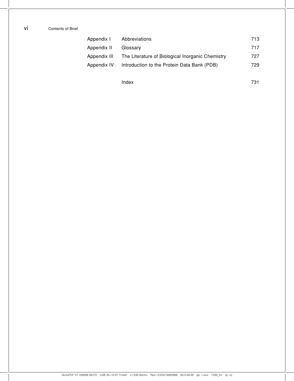vi Contents of Brief

| Appendix I   | Abbreviations                                    | 713  |
|--------------|--------------------------------------------------|------|
| Appendix II  | Glossary                                         | 717  |
| Appendix III | The Literature of Biological Inorganic Chemistry | 727  |
| Appendix IV  | Introduction to the Protein Data Bank (PDB)      | 729. |
|              |                                                  |      |

| Index | 731 |
|-------|-----|
|       |     |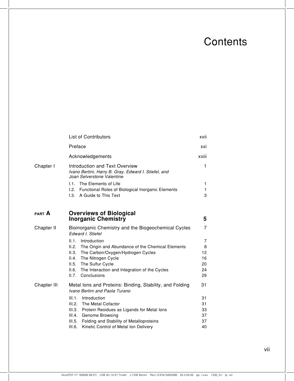# **Contents**

|             | <b>List of Contributors</b>                                                                                           | xvii        |
|-------------|-----------------------------------------------------------------------------------------------------------------------|-------------|
|             | Preface                                                                                                               | xxi         |
|             | Acknowledgements                                                                                                      | xxiii       |
| Chapter I   | Introduction and Text Overview<br>Ivano Bertini, Harry B. Gray, Edward I. Stiefel, and<br>Joan Selverstone Valentine  | 1           |
|             | The Elements of Life<br>I.1. I<br>I.2. Functional Roles of Biological Inorganic Elements<br>1.3. A Guide to This Text | 1<br>1<br>3 |
| PART A      | <b>Overviews of Biological</b><br><b>Inorganic Chemistry</b>                                                          | 5           |
| Chapter II  | Bioinorganic Chemistry and the Biogeochemical Cycles<br>Edward I. Stiefel                                             | 7           |
|             | II.1. Introduction                                                                                                    | 7           |
|             | II.2.<br>The Origin and Abundance of the Chemical Elements                                                            | 8           |
|             | II.3.<br>The Carbon/Oxygen/Hydrogen Cycles                                                                            | 12          |
|             | The Nitrogen Cycle<br>II.4.                                                                                           | 16          |
|             | II.5. The Sulfur Cycle<br>The Interaction and Integration of the Cycles<br>II.6.                                      | 20<br>24    |
|             | Conclusions<br>II.7.                                                                                                  | 29          |
| Chapter III | Metal lons and Proteins: Binding, Stability, and Folding<br>Ivano Bertini and Paola Turano                            | 31          |
|             | III.1.<br>Introduction                                                                                                | 31          |
|             | III.2.<br>The Metal Cofactor                                                                                          | 31          |
|             | III.3.<br>Protein Residues as Ligands for Metal lons                                                                  | 33          |
|             | III.4. Genome Browsing                                                                                                | 37          |
|             | III.5.<br>Folding and Stability of Metalloproteins                                                                    | 37          |
|             | Kinetic Control of Metal Ion Delivery<br>III.6.                                                                       | 40          |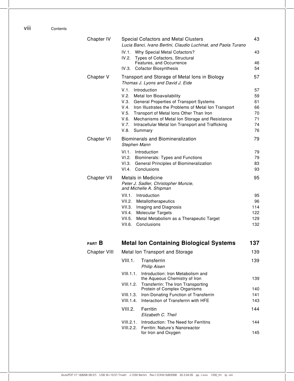| ı |  |  |  |
|---|--|--|--|
|   |  |  |  |
|   |  |  |  |

viii Contents

| Chapter IV          | <b>Special Cofactors and Metal Clusters</b><br>Lucia Banci, Ivano Bertini, Claudio Luchinat, and Paola Turano       | 43         |
|---------------------|---------------------------------------------------------------------------------------------------------------------|------------|
|                     | IV.1.<br>Why Special Metal Cofactors?                                                                               | 43         |
|                     | IV.2.<br>Types of Cofactors, Structural<br>Features, and Occurrence                                                 | 46         |
|                     | <b>Cofactor Biosynthesis</b><br>IV.3.                                                                               | 54         |
| Chapter V           | Transport and Storage of Metal lons in Biology<br>Thomas J. Lyons and David J. Eide                                 | 57         |
|                     | V.1.<br>Introduction                                                                                                | 57         |
|                     | V.2.<br>Metal Ion Bioavailability<br>General Properties of Transport Systems<br>V.3.                                | 59<br>61   |
|                     | V.4.<br>Iron Illustrates the Problems of Metal Ion Transport                                                        | 66         |
|                     | V.5.<br>Transport of Metal lons Other Than Iron                                                                     | 70         |
|                     | V.6.<br>Mechanisms of Metal Ion Storage and Resistance<br>Intracellular Metal Ion Transport and Trafficking<br>V.7. | 71<br>74   |
|                     | V.8.<br>Summary                                                                                                     | 76         |
| Chapter VI          | <b>Biominerals and Biomineralization</b><br>Stephen Mann                                                            | 79         |
|                     | VI.1. Introduction                                                                                                  | 79         |
|                     | VI.2.<br>Biominerals: Types and Functions<br>VI.3.                                                                  | 79<br>83   |
|                     | General Principles of Biomineralization<br>VI.4. Conclusions                                                        | 93         |
| <b>Chapter VII</b>  | Metals in Medicine<br>Peter J. Sadler, Christopher Muncie,<br>and Michelle A. Shipman                               | 95         |
|                     | VII.1. Introduction                                                                                                 | 95         |
|                     | VII.2. Metallotherapeutics                                                                                          | 96         |
|                     | VII.3. Imaging and Diagnosis<br>VII.4. Molecular Targets                                                            | 114<br>122 |
|                     | VII.5.<br>Metal Metabolism as a Therapeutic Target                                                                  | 129        |
|                     | VII.6. Conclusions                                                                                                  | 132        |
|                     |                                                                                                                     |            |
| PART B              | <b>Metal Ion Containing Biological Systems</b>                                                                      | 137        |
| <b>Chapter VIII</b> | Metal Ion Transport and Storage                                                                                     | 139        |
|                     | VIII.1.<br>Transferrin<br><b>Philip Aisen</b>                                                                       | 139        |
|                     | VIII.1.1.<br>Introduction: Iron Metabolism and<br>the Aqueous Chemistry of Iron                                     | 139        |
|                     | VIII.1.2.<br>Transferrin: The Iron Transporting<br>Protein of Complex Organisms                                     | 140        |
|                     | Iron-Donating Function of Transferrin<br>VIII.1.3.                                                                  | 141        |
|                     | Interaction of Transferrin with HFE<br>VIII.1.4.                                                                    | 143        |
|                     | <b>VIII.2.</b><br>Ferritin<br>Elizabeth C. Theil                                                                    | 144        |
|                     | Introduction: The Need for Ferritins<br>VIII.2.1.                                                                   | 144        |
|                     | VIII.2.2.<br>Ferritin: Nature's Nanoreactor                                                                         |            |

(AutoPDF V7 16/8/06 09:37) USB (8×10.5") Tmath J-1330 Bertini Rev1:(CKN)15/8/2006 (0).3.04.05 pp. i–xxiv 1330\_fm (p. viii)

for Iron and Oxygen 145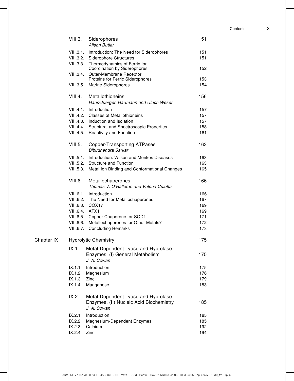### Contents ix

|            | VIII.3.        | Siderophores<br><b>Alison Butler</b>                                                          | 151        |
|------------|----------------|-----------------------------------------------------------------------------------------------|------------|
|            |                | VIII.3.1. Introduction: The Need for Siderophores<br>VIII.3.2. Siderophore Structures         | 151<br>151 |
|            |                | VIII.3.3. Thermodynamics of Ferric Ion<br><b>Coordination by Siderophores</b>                 | 152        |
|            | VIII.3.4.      | Outer-Membrane Receptor                                                                       |            |
|            |                | Proteins for Ferric Siderophores<br>VIII.3.5. Marine Siderophores                             | 153<br>154 |
|            |                |                                                                                               |            |
|            | <b>VIII.4.</b> | Metallothioneins<br>Hans-Juergen Hartmann and Ulrich Weser                                    | 156        |
|            | VIII.4.1.      | Introduction                                                                                  | 157        |
|            | VIII.4.2.      | <b>Classes of Metallothioneins</b>                                                            | 157        |
|            |                | VIII.4.3. Induction and Isolation                                                             | 157        |
|            | VIII.4.4.      | Structural and Spectroscopic Properties                                                       | 158        |
|            | VIII.4.5.      | Reactivity and Function                                                                       | 161        |
|            | <b>VIII.5.</b> | <b>Copper-Transporting ATPases</b><br>Bibudhendra Sarkar                                      | 163        |
|            |                | VIII.5.1. Introduction: Wilson and Menkes Diseases                                            | 163        |
|            | VIII.5.2.      | <b>Structure and Function</b>                                                                 | 163        |
|            | VIII.5.3.      | Metal Ion Binding and Conformational Changes                                                  | 165        |
|            | VIII.6.        | Metallochaperones<br>Thomas V. O'Halloran and Valeria Culotta                                 | 166        |
|            |                | VIII.6.1. Introduction                                                                        | 166        |
|            |                | VIII.6.2. The Need for Metallochaperones                                                      | 167        |
|            | VIII.6.3.      | COX <sub>17</sub>                                                                             | 169        |
|            | VIII.6.4. ATX1 |                                                                                               | 169        |
|            | VIII.6.5.      | Copper Chaperone for SOD1                                                                     | 171        |
|            | VIII.6.6.      | Metallochaperones for Other Metals?                                                           | 172        |
|            | VIII.6.7.      | <b>Concluding Remarks</b>                                                                     | 173        |
| Chapter IX |                | <b>Hydrolytic Chemistry</b>                                                                   | 175        |
|            | IX.1.          | Metal-Dependent Lyase and Hydrolase<br>Enzymes. (I) General Metabolism<br>J. A. Cowan         | 175        |
|            | IX.1.1.        | Introduction                                                                                  | 175        |
|            | IX.1.2.        | Magnesium                                                                                     | 176        |
|            | IX.1.3.        | Zinc                                                                                          | 179        |
|            | IX.1.4.        | Manganese                                                                                     | 183        |
|            | IX.2.          | Metal-Dependent Lyase and Hydrolase<br>Enzymes. (II) Nucleic Acid Biochemistry<br>J. A. Cowan | 185        |
|            | IX.2.1.        | Introduction                                                                                  | 185        |
|            | IX.2.2.        | Magnesium-Dependent Enzymes                                                                   | 185        |
|            | IX.2.3.        | Calcium                                                                                       | 192        |
|            | IX.2.4.        | Zinc                                                                                          | 194        |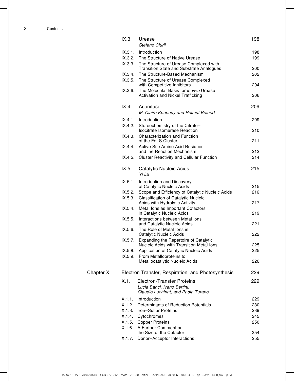x Contents

|           | IX.3.                                          | Urease<br>Stefano Ciurli                                                                                              | 198                             |
|-----------|------------------------------------------------|-----------------------------------------------------------------------------------------------------------------------|---------------------------------|
|           | IX.3.1.<br>IX.3.2.                             | Introduction<br>The Structure of Native Urease                                                                        | 198<br>199                      |
|           | IX.3.3.                                        | The Structure of Urease Complexed with<br><b>Transition State and Substrate Analogues</b>                             | 200                             |
|           | IX.3.4.<br>IX.3.5.                             | The Structure-Based Mechanism<br>The Structure of Urease Complexed                                                    | 202                             |
|           | IX.3.6.                                        | with Competitive Inhibitors<br>The Molecular Basis for <i>in vivo</i> Urease<br>Activation and Nickel Trafficking     | 204<br>206                      |
|           | IX.4.                                          | Aconitase                                                                                                             | 209                             |
|           |                                                | M. Claire Kennedy and Helmut Beinert                                                                                  |                                 |
|           | IX.4.1.                                        | Introduction                                                                                                          | 209                             |
|           | IX.4.2.                                        | Stereochemistry of the Citrate-<br><b>Isocitrate Isomerase Reaction</b>                                               | 210                             |
|           | IX.4.3.                                        | <b>Characterization and Function</b><br>of the Fe-S Cluster                                                           | 211                             |
|           | IX.4.4.                                        | Active Site Amino Acid Residues<br>and the Reaction Mechanism                                                         | 212                             |
|           | IX.4.5.                                        | <b>Cluster Reactivity and Cellular Function</b>                                                                       | 214                             |
|           | IX.5.                                          | Catalytic Nucleic Acids<br>Yi Lu                                                                                      | 215                             |
|           | IX.5.1.                                        | Introduction and Discovery<br>of Catalytic Nucleic Acids                                                              | 215                             |
|           | IX.5.2.                                        | Scope and Efficiency of Catalytic Nucleic Acids                                                                       | 216                             |
|           | IX.5.3.                                        | <b>Classification of Catalytic Nucleic</b><br>Acids with Hydrolytic Activity                                          | 217                             |
|           | IX.5.4.                                        | Metal lons as Important Cofactors<br>in Catalytic Nucleic Acids                                                       | 219                             |
|           | IX.5.5.                                        | Interactions between Metal lons<br>and Catalytic Nucleic Acids                                                        | 221                             |
|           | IX.5.6.                                        | The Role of Metal lons in<br>Catalytic Nucleic Acids                                                                  | 222                             |
|           | IX.5.7.                                        | Expanding the Repertoire of Catalytic<br>Nucleic Acids with Transition Metal lons                                     | 225                             |
|           |                                                | IX.5.8. Application of Catalytic Nucleic Acids                                                                        | 225                             |
|           | IX.5.9.                                        | From Metalloproteins to<br>Metallocatalytic Nucleic Acids                                                             | 226                             |
| Chapter X |                                                | Electron Transfer, Respiration, and Photosynthesis                                                                    | 229                             |
|           | $X.1$ .                                        | <b>Electron-Transfer Proteins</b><br>Lucia Banci, Ivano Bertini,<br>Claudio Luchinat, and Paola Turano                | 229                             |
|           | X.1.1.<br>X.1.2.<br>X.1.3.<br>X.1.4.<br>X.1.5. | Introduction<br>Determinants of Reduction Potentials<br>Iron-Sulfur Proteins<br>Cytochromes<br><b>Copper Proteins</b> | 229<br>230<br>239<br>245<br>250 |
|           | X.1.6.<br>X.1.7.                               | A Further Comment on<br>the Size of the Cofactor<br>Donor-Acceptor Interactions                                       | 254<br>255                      |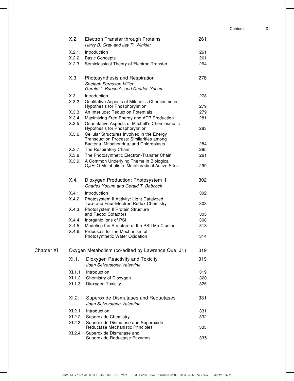### Contents XI

| X.2.    | Electron Transfer through Proteins<br>Harry B. Gray and Jay R. Winkler                             | 261 |
|---------|----------------------------------------------------------------------------------------------------|-----|
| X.2.1.  | Introduction                                                                                       | 261 |
| X.2.2.  | <b>Basic Concepts</b>                                                                              | 261 |
| X.2.3.  | Semiclassical Theory of Electron Transfer                                                          | 264 |
| X.3.    | Photosynthesis and Respiration<br>Shelagh Ferguson-Miller,<br>Gerald T. Babcock, and Charles Yocum | 278 |
| X.3.1.  | Introduction                                                                                       | 278 |
| X.3.2.  | Qualitative Aspects of Mitchell's Chemiosmotic<br>Hypothesis for Phosphorylation                   | 279 |
| X.3.3.  | An Interlude: Reduction Potentials                                                                 | 279 |
| X.3.4.  | Maximizing Free Energy and ATP Production                                                          | 281 |
| X.3.5.  | Quantitative Aspects of Mitchell's Chemiosmotic                                                    |     |
|         | Hypothesis for Phosphorylation                                                                     | 283 |
| X.3.6.  | Cellular Structures Involved in the Energy                                                         |     |
|         | Transduction Process: Similarities among<br>Bacteria, Mitochondria, and Chloroplasts               | 284 |
| X.3.7.  | The Respiratory Chain                                                                              | 285 |
| X.3.8.  | The Photosynthetic Electron-Transfer Chain                                                         | 291 |
| X.3.9.  | A Common Underlying Theme in Biological                                                            |     |
|         | O <sub>2</sub> /H <sub>2</sub> O Metabolism: Metalloradical Active Sites                           | 299 |
| X.4.    | Dioxygen Production: Photosystem II<br>Charles Yocum and Gerald T. Babcock                         | 302 |
| X.4.1.  | Introduction                                                                                       | 302 |
| X.4.2.  | Photosystem II Activity: Light-Catalyzed<br>Two- and Four-Electron Redox Chemistry                 | 303 |
| X.4.3.  | Photosystem II Protein Structure<br>and Redox Cofactors                                            | 305 |
| X.4.4.  | Inorganic lons of PSII                                                                             | 308 |
| X.4.5.  | Modeling the Structure of the PSII Mn Cluster                                                      | 313 |
| X.4.6.  | Proposals for the Mechanism of<br>Photosynthetic Water Oxidation                                   | 314 |
|         | Oxygen Metabolism (co-edited by Lawrence Que, Jr.)                                                 | 319 |
|         |                                                                                                    |     |
| XI.1.   | Dioxygen Reactivity and Toxicity<br>Joan Selverstone Valentine                                     | 319 |
| XI.1.1. | Introduction                                                                                       | 319 |
| XI.1.2. | Chemistry of Dioxygen                                                                              | 320 |
| XI.1.3. | Dioxygen Toxicity                                                                                  | 325 |
| X1.2.   | Superoxide Dismutases and Reductases<br>Joan Selverstone Valentine                                 | 331 |
| XI.2.1. | Introduction                                                                                       | 331 |
| XI.2.2. | <b>Superoxide Chemistry</b>                                                                        | 332 |
| XI.2.3. | Superoxide Dismutase and Superoxide<br>Reductase Mechanistic Principles                            | 333 |
| XI.2.4. | Superoxide Dismutase and<br>Superoxide Reductase Enzymes                                           | 335 |

Chapter XI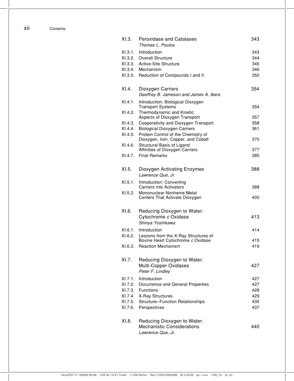xii Contents

| XI.3.               | <b>Peroxidase and Catalases</b><br>Thomas L. Poulos                       | 343 |
|---------------------|---------------------------------------------------------------------------|-----|
| X <sub>L</sub> 3.1. | Introduction                                                              | 343 |
| X1.3.2.             | <b>Overall Structure</b>                                                  | 344 |
| X <sub>L</sub> 3.3. | Active-Site Structure                                                     | 345 |
| X <sub>L</sub> 3.4. | Mechanism                                                                 | 346 |
| X1.3.5.             | Reduction of Compounds I and II                                           | 350 |
|                     |                                                                           |     |
| X1.4.               | Dioxygen Carriers                                                         | 354 |
|                     | Geoffrey B. Jameson and James A. Ibers                                    |     |
| XI.4.1.             | Introduction: Biological Dioxygen<br><b>Transport Systems</b>             | 354 |
| XI.4.2.             | Thermodynamic and Kinetic                                                 |     |
|                     | Aspects of Dioxygen Transport                                             | 357 |
| XI.4.3.             | Cooperativity and Dioxygen Transport                                      | 358 |
| $X1.4.4$ .          | <b>Biological Dioxygen Carriers</b>                                       | 361 |
| X1.4.5.             | Protein Control of the Chemistry of<br>Dioxygen, Iron, Copper, and Cobalt | 370 |
| XI.4.6.             | Structural Basis of Ligand                                                |     |
|                     | Affinities of Dioxygen Carriers                                           | 377 |
| X1.4.7.             | <b>Final Remarks</b>                                                      | 385 |
|                     |                                                                           |     |
| X1.5.               | Dioxygen Activating Enzymes                                               | 388 |
|                     | Lawrence Que, Jr.                                                         |     |
| XI.5.1.             | Introduction: Converting                                                  |     |
|                     | <b>Carriers into Activators</b>                                           | 388 |
| XI.5.2.             | Mononuclear Nonheme Metal                                                 |     |
|                     | Centers That Activate Dioxygen                                            | 400 |
|                     |                                                                           |     |
| XI.6.               | Reducing Dioxygen to Water:                                               |     |
|                     | Cytochrome c Oxidase                                                      | 413 |
|                     | Shinya Yoshikawa                                                          |     |
| X <sub>L</sub> 6.1. | Introduction                                                              | 414 |
| XI.6.2.             | Lessons from the X-Ray Structures of                                      |     |
|                     | Bovine Heart Cytochrome c Oxidase                                         | 415 |
| XI.6.3.             | <b>Reaction Mechanism</b>                                                 | 419 |
|                     |                                                                           |     |
| X1.7.               | Reducing Dioxygen to Water:                                               |     |
|                     | Multi-Copper Oxidases                                                     | 427 |
|                     | Peter F. Lindley                                                          |     |
| X1.7.1.             | Introduction                                                              | 427 |
|                     | XI.7.2. Occurrence and General Properties                                 | 427 |
|                     | XI.7.3. Functions                                                         | 428 |
|                     | XI.7.4. X-Ray Structures                                                  | 429 |
| X1.7.5.             | Structure-Function Relationships                                          | 435 |
|                     | XI.7.6. Perspectives                                                      | 437 |
|                     |                                                                           |     |
| XI.8.               | Reducing Dioxygen to Water:                                               |     |
|                     | <b>Mechanistic Considerations</b>                                         | 440 |
|                     | Lawrence Que, Jr.                                                         |     |
|                     |                                                                           |     |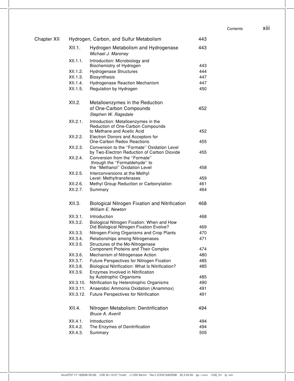Contents **Xiii** 

| Chapter XII |           | Hydrogen, Carbon, and Sulfur Metabolism                                                    | 443 |  |
|-------------|-----------|--------------------------------------------------------------------------------------------|-----|--|
|             | XII.1.    | Hydrogen Metabolism and Hydrogenase<br>Michael J. Maroney                                  | 443 |  |
|             | XII.1.1.  | Introduction: Microbiology and                                                             |     |  |
|             |           | Biochemistry of Hydrogen                                                                   | 443 |  |
|             | XII.1.2.  | <b>Hydrogenase Structures</b>                                                              | 444 |  |
|             | XII.1.3.  | Biosynthesis                                                                               | 447 |  |
|             | XII.1.4.  | <b>Hydrogenase Reaction Mechanism</b>                                                      | 447 |  |
|             | XII.1.5.  | Regulation by Hydrogen                                                                     | 450 |  |
|             | XII.2.    | Metalloenzymes in the Reduction                                                            |     |  |
|             |           | of One-Carbon Compounds                                                                    | 452 |  |
|             |           | Stephen W. Ragsdale                                                                        |     |  |
|             | XII.2.1.  | Introduction: Metalloenzymes in the<br>Reduction of One-Carbon Compounds                   |     |  |
|             |           | to Methane and Acetic Acid                                                                 | 452 |  |
|             | XII.2.2.  | Electron Donors and Acceptors for                                                          |     |  |
|             |           | <b>One-Carbon Redox Reactions</b>                                                          | 455 |  |
|             | XII.2.3.  | Conversion to the "Formate" Oxidation Level<br>by Two-Electron Reduction of Carbon Dioxide | 455 |  |
|             | XII.2.4.  | Conversion from the "Formate"                                                              |     |  |
|             |           | through the "Formaldehyde" to<br>the "Methanol" Oxidation Level                            | 458 |  |
|             | XII.2.5.  | Interconversions at the Methyl                                                             |     |  |
|             |           | Level: Methyltransferases                                                                  | 459 |  |
|             | XII.2.6.  | Methyl Group Reduction or Carbonylation                                                    | 461 |  |
|             | XII.2.7.  | Summary                                                                                    | 464 |  |
|             | XII.3.    | <b>Biological Nitrogen Fixation and Nitrification</b><br>William E. Newton                 | 468 |  |
|             | XII.3.1.  | Introduction                                                                               | 468 |  |
|             | XII.3.2.  | Biological Nitrogen Fixation: When and How<br>Did Biological Nitrogen Fixation Evolve?     | 469 |  |
|             | XII.3.3.  | Nitrogen-Fixing Organisms and Crop Plants                                                  | 470 |  |
|             | XII.3.4.  | Relationships among Nitrogenases                                                           | 471 |  |
|             | XII.3.5.  | Structures of the Mo-Nitrogenase                                                           |     |  |
|             |           | Component Proteins and Their Complex                                                       | 474 |  |
|             | XII.3.6.  | Mechanism of Nitrogenase Action                                                            | 480 |  |
|             | XII.3.7.  | Future Perspectives for Nitrogen Fixation                                                  | 485 |  |
|             | XII.3.8.  | Biological Nitrification: What Is Nitrification?                                           | 485 |  |
|             | XII.3.9.  | Enzymes Involved in Nitrification                                                          | 485 |  |
|             | XII.3.10. | by Autotrophic Organisms<br>Nitrification by Heterotrophic Organisms                       | 490 |  |
|             | XII.3.11. | Anaerobic Ammonia Oxidation (Anammox)                                                      | 491 |  |
|             | XII.3.12. | <b>Future Perspectives for Nitrification</b>                                               | 491 |  |
|             |           |                                                                                            |     |  |
|             | XII.4.    | Nitrogen Metabolism: Denitrification<br>Bruce A. Averill                                   | 494 |  |
|             | XII.4.1.  | Introduction                                                                               | 494 |  |
|             | XII.4.2.  | The Enzymes of Denitrification                                                             | 494 |  |
|             | XII.4.3.  | Summary                                                                                    | 505 |  |
|             |           |                                                                                            |     |  |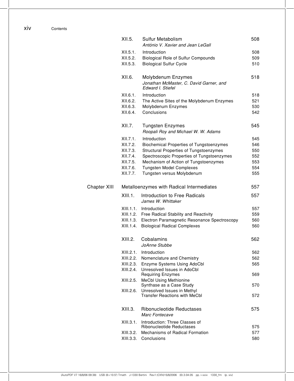xiv Contents

Chapter<br>

|      | XII.5.                 | Sulfur Metabolism<br>António V. Xavier and Jean LeGall                             | 508        |
|------|------------------------|------------------------------------------------------------------------------------|------------|
|      | XII.5.1.               | Introduction                                                                       | 508        |
|      | XII.5.2.               | <b>Biological Role of Sulfur Compounds</b>                                         | 509        |
|      | XII.5.3.               | <b>Biological Sulfur Cycle</b>                                                     | 510        |
|      | XII.6.                 | Molybdenum Enzymes<br>Jonathan McMaster, C. David Garner, and<br>Edward I. Stiefel | 518        |
|      | XII.6.1.               | Introduction                                                                       | 518        |
|      | XII.6.2.               | The Active Sites of the Molybdenum Enzymes                                         | 521        |
|      | XII.6.3.               | Molybdenum Enzymes                                                                 | 530        |
|      | XII.6.4.               | Conclusions                                                                        | 542        |
|      | XII.7.                 | <b>Tungsten Enzymes</b><br>Roopali Roy and Michael W. W. Adams                     | 545        |
|      | XII.7.1.               | Introduction                                                                       | 545        |
|      | XII.7.2.               | <b>Biochemical Properties of Tungstoenzymes</b>                                    | 546        |
|      | XII.7.3.               | <b>Structural Properties of Tungstoenzymes</b>                                     | 550        |
|      | XII.7.4.               | Spectroscopic Properties of Tungstoenzymes                                         | 552        |
|      | XII.7.5.               | Mechanism of Action of Tungstoenzymes                                              | 553        |
|      | XII.7.6.               | <b>Tungsten Model Complexes</b>                                                    | 554        |
|      | XII.7.7.               | Tungsten versus Molybdenum                                                         | 555        |
| XIII |                        | Metalloenzymes with Radical Intermediates                                          | 557        |
|      | XIII.1.                | Introduction to Free Radicals<br>James W. Whittaker                                | 557        |
|      | XIII.1.1.              | Introduction                                                                       | 557        |
|      | XIII.1.2.              | Free Radical Stability and Reactivity                                              | 559        |
|      | XIII.1.3.              | Electron Paramagnetic Resonance Spectroscopy                                       | 560        |
|      | XIII.1.4.              | <b>Biological Radical Complexes</b>                                                | 560        |
|      | XIII.2.                | Cobalamins<br>JoAnne Stubbe                                                        | 562        |
|      | XIII.2.1.              | Introduction                                                                       | 562        |
|      | XIII.2.2.              | Nomenclature and Chemistry                                                         | 562        |
|      | XIII.2.3.<br>XIII.2.4. | Enzyme Systems Using AdoCbl<br>Unresolved Issues in AdoCbl                         | 565        |
|      |                        | <b>Requiring Enzymes</b>                                                           | 569        |
|      | XIII.2.5.              | <b>MeCbl Using Methionine</b><br>Synthase as a Case Study                          | 570        |
|      | XIII.2.6.              | Unresolved Issues in Methyl<br><b>Transfer Reactions with MeCbl</b>                | 572        |
|      | XIII.3.                | Ribonucleotide Reductases<br>Marc Fontecave                                        | 575        |
|      | XIII.3.1.              | Introduction: Three Classes of                                                     |            |
|      | XIII.3.2.              | <b>Ribonucleotide Reductases</b><br>Mechanisms of Radical Formation                | 575        |
|      | XIII.3.3.              | Conclusions                                                                        | 577<br>580 |
|      |                        |                                                                                    |            |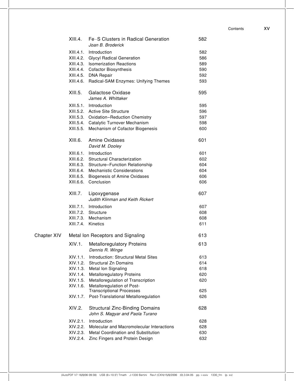Contents xv

|             | XIII.4.                           | Fe-S Clusters in Radical Generation<br>Joan B. Broderick                  | 582 |
|-------------|-----------------------------------|---------------------------------------------------------------------------|-----|
|             |                                   | XIII.4.1. Introduction                                                    | 582 |
|             |                                   | XIII.4.2. Glycyl Radical Generation                                       | 586 |
|             |                                   | XIII.4.3. Isomerization Reactions                                         | 589 |
|             |                                   | XIII.4.4. Cofactor Biosynthesis                                           | 590 |
|             |                                   | XIII.4.5. DNA Repair                                                      | 592 |
|             | XIII.4.6.                         | Radical-SAM Enzymes: Unifying Themes                                      | 593 |
|             | XIII.5.                           | Galactose Oxidase                                                         | 595 |
|             |                                   | James A. Whittaker                                                        |     |
|             |                                   | XIII.5.1. Introduction                                                    | 595 |
|             |                                   | XIII.5.2. Active Site Structure                                           | 596 |
|             |                                   | XIII.5.3. Oxidation-Reduction Chemistry                                   | 597 |
|             |                                   | XIII.5.4. Catalytic Turnover Mechanism                                    | 598 |
|             |                                   | XIII.5.5. Mechanism of Cofactor Biogenesis                                | 600 |
|             | XIII.6.                           | <b>Amine Oxidases</b><br>David M. Dooley                                  | 601 |
|             |                                   | XIII.6.1. Introduction                                                    | 601 |
|             | XIII.6.2.                         | Structural Characterization                                               | 602 |
|             | XIII.6.3.                         | Structure-Function Relationship                                           | 604 |
|             |                                   | XIII.6.4. Mechanistic Considerations                                      | 604 |
|             |                                   | XIII.6.5. Biogenesis of Amine Oxidases                                    | 606 |
|             | XIII.6.6.                         | Conclusion                                                                | 606 |
|             | XIII.7.                           | Lipoxygenase<br>Judith Klinman and Keith Rickert                          | 607 |
|             |                                   | XIII.7.1. Introduction                                                    | 607 |
|             |                                   | XIII.7.2. Structure                                                       | 608 |
|             |                                   | XIII.7.3. Mechanism                                                       | 608 |
|             |                                   | XIII.7.4. Kinetics                                                        | 611 |
| Chapter XIV | Metal Ion Receptors and Signaling |                                                                           | 613 |
|             | XIV.1.                            | Metalloregulatory Proteins<br>Dennis R. Winge                             | 613 |
|             | XIV.1.1.                          | Introduction: Structural Metal Sites                                      | 613 |
|             | XIV.1.2.                          | <b>Structural Zn Domains</b>                                              | 614 |
|             | XIV.1.3.                          | Metal Ion Signaling                                                       | 618 |
|             | XIV.1.4.                          | <b>Metalloregulatory Proteins</b>                                         | 620 |
|             | XIV.1.5.                          | Metalloregulation of Transcription                                        | 620 |
|             | XIV.1.6.                          | Metalloregulation of Post-                                                |     |
|             |                                   | <b>Transcriptional Processes</b>                                          | 625 |
|             | XIV.1.7.                          | Post-Translational Metalloregulation                                      | 626 |
|             | XIV.2.                            | <b>Structural Zinc-Binding Domains</b><br>John S. Magyar and Paola Turano | 628 |
|             | XIV.2.1.                          | Introduction                                                              | 628 |
|             | XIV.2.2.                          | Molecular and Macromolecular Interactions                                 | 628 |
|             | XIV.2.3.                          | Metal Coordination and Substitution                                       | 630 |
|             | XIV.2.4.                          | Zinc Fingers and Protein Design                                           | 632 |
|             |                                   |                                                                           |     |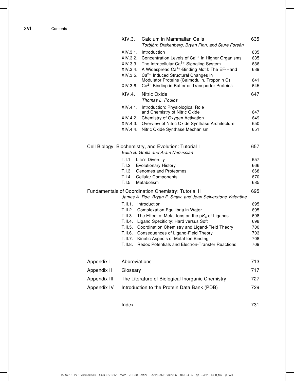xvi Contents

|              | XIV.3.                                                  | Calcium in Mammalian Cells<br>Torbjörn Drakenberg, Bryan Finn, and Sture Forsén                                                                                                     | 635               |
|--------------|---------------------------------------------------------|-------------------------------------------------------------------------------------------------------------------------------------------------------------------------------------|-------------------|
|              | XIV.3.1.<br>XIV.3.2.<br>XIV.3.3.<br>XIV.3.4.            | Introduction<br>Concentration Levels of $Ca^{2+}$ in Higher Organisms<br>The Intracellular Ca <sup>2+</sup> -Signaling System<br>A Widespread $Ca^{2+}$ -Binding Motif: The EF-Hand | 635<br>635<br>636 |
|              | XIV.3.5.                                                | $Ca2+$ Induced Structural Changes in<br>Modulator Proteins (Calmodulin, Troponin C)                                                                                                 | 639<br>641        |
|              | XIV.3.6.                                                | $Ca2+$ Binding in Buffer or Transporter Proteins                                                                                                                                    | 645               |
|              | XIV.4.                                                  | Nitric Oxide<br>Thomas L. Poulos                                                                                                                                                    | 647               |
|              | XIV.4.1.                                                | Introduction: Physiological Role<br>and Chemistry of Nitric Oxide                                                                                                                   | 647               |
|              | XIV.4.2.                                                | Chemistry of Oxygen Activation                                                                                                                                                      | 649               |
|              |                                                         | XIV.4.3. Overview of Nitric Oxide Synthase Architecture                                                                                                                             | 650               |
|              | XIV.4.4.                                                | Nitric Oxide Synthase Mechanism                                                                                                                                                     | 651               |
|              |                                                         | Cell Biology, Biochemistry, and Evolution: Tutorial I<br>Edith B. Gralla and Aram Nersissian                                                                                        | 657               |
|              |                                                         | T.I.1. Life's Diversity                                                                                                                                                             | 657               |
|              |                                                         | T.I.2. Evolutionary History                                                                                                                                                         | 666               |
|              |                                                         | T.I.3. Genomes and Proteomes                                                                                                                                                        | 668               |
|              |                                                         | T.I.4. Cellular Components                                                                                                                                                          | 670               |
|              |                                                         | T.I.5. Metabolism                                                                                                                                                                   | 685               |
|              |                                                         | Fundamentals of Coordination Chemistry: Tutorial II<br>James A. Roe, Bryan F. Shaw, and Joan Selverstone Valentine                                                                  | 695               |
|              | T.II.1.                                                 | Introduction                                                                                                                                                                        | 695               |
|              | T.I.I.2.                                                | Complexation Equilibria in Water                                                                                                                                                    | 695               |
|              | T.II.3.<br>T.II.4.                                      | The Effect of Metal lons on the $pK_a$ of Ligands<br>Ligand Specificity: Hard versus Soft                                                                                           | 698<br>698        |
|              | T.II.5.                                                 | Coordination Chemistry and Ligand-Field Theory                                                                                                                                      | 700               |
|              | T.II.6.                                                 | Consequences of Ligand-Field Theory                                                                                                                                                 | 703               |
|              | T.II.7.                                                 | Kinetic Aspects of Metal Ion Binding                                                                                                                                                | 708               |
|              | T.II.8.                                                 | <b>Redox Potentials and Electron-Transfer Reactions</b>                                                                                                                             | 709               |
| Appendix I   | Abbreviations                                           |                                                                                                                                                                                     | 713               |
| Appendix II  | Glossary                                                |                                                                                                                                                                                     | 717               |
| Appendix III | The Literature of Biological Inorganic Chemistry<br>727 |                                                                                                                                                                                     |                   |
| Appendix IV  |                                                         | Introduction to the Protein Data Bank (PDB)                                                                                                                                         | 729               |
|              |                                                         |                                                                                                                                                                                     |                   |

Index 731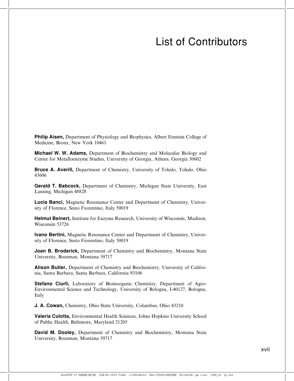## List of Contributors

Philip Aisen, Department of Physiology and Biophysics, Albert Einstein College of Medicine, Bronx, New York 10461

Michael W. W. Adams, Department of Biochemistry and Molecular Biology and Center for Metalloenzyme Studies, University of Georgia, Athens, Georgia 30602

Bruce A. Averill, Department of Chemistry, University of Toledo, Toledo, Ohio 43606

Gerald T. Babcock, Department of Chemistry, Michigan State University, East Lansing, Michigan 48828

Lucia Banci, Magnetic Resonance Center and Department of Chemistry, University of Florence, Sesto Fiorentino, Italy 50019

Helmut Beinert, Institute for Enzyme Research, University of Wisconsin, Madison, Wisconsin 53726

Ivano Bertini, Magnetic Resonance Center and Department of Chemistry, University of Florence, Sesto Fiorentino, Italy 50019

Joan B. Broderick, Department of Chemistry and Biochemistry, Montana State University, Bozeman, Montana 59717

Alison Butler, Department of Chemistry and Biochemistry, University of California, Santa Barbara, Santa Barbara, California 93106

Stefano Ciurli, Laboratory of Bioinorganic Chemistry, Department of Agro-Environmental Science and Technology, University of Bologna, I-40127, Bologna, Italy

J. A. Cowan, Chemistry, Ohio State University, Columbus, Ohio 43210

Valeria Culotta, Environmental Health Sciences, Johns Hopkins University School of Public Health, Baltimore, Maryland 21205

David M. Dooley, Department of Chemistry and Biochemistry, Montana State University, Bozeman, Montana 59717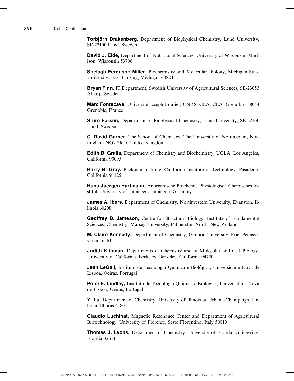### xviii List of Contributors

Torbjörn Drakenberg, Department of Biophysical Chemistry, Lund University, SE-22100 Lund, Sweden

David J. Eide, Department of Nutritional Sciences, University of Wisconsin, Madison, Wisconsin 53706

**Shelagh Ferguson-Miller,** Biochemistry and Molecular Biology, Michigan State University, East Lansing, Michigan 48824

Bryan Finn, IT Department, Swedish University of Agricultural Sciences, SE-23053 Alnarp, Sweden

Marc Fontecave, Université Joseph Fourier, CNRS–CEA, CEA–Grenoble, 38054 Grenoble, France

**Sture Forsén,** Department of Biophysical Chemistry, Lund University, SE-22100 Lund, Sweden

C. David Garner, The School of Chemistry, The University of Nottingham, Nottingham NG7 2RD, United Kingdom

Edith B. Gralla, Department of Chemistry and Biochemistry, UCLA, Los Angeles, California 90095

Harry B. Gray, Beckman Institute, California Institute of Technology, Pasadena, California 91125

Hans-Juergen Hartmann, Anorganische Biochemie Physiologisch Chemisches Institut, University of Tübingen, Tübingen, Germany

James A. Ibers, Department of Chemistry, Northwestern University, Evanston, Illinois 60208

Geoffrey B. Jameson, Centre for Structural Biology, Institute of Fundamental Sciences, Chemistry, Massey University, Palmerston North, New Zealand

M. Claire Kennedy, Department of Chemistry, Gannon University, Erie, Pennsylvania 16561

**Judith Klinman,** Departments of Chemistry and of Molecular and Cell Biology, University of California, Berkeley, Berkeley, California 94720

Jean LeGall, Instituto de Tecnologia Química e Biológica, Universidade Nova de Lisboa, Oeiras, Portugal

Peter F. Lindley, Instituto de Tecnologia Química e Biológica, Universidade Nova de Lisboa, Oeiras, Portugal

Yi Lu, Department of Chemistry, University of Illinois at Urbana-Champaign, Urbana, Illinois 61801

Claudio Luchinat, Magnetic Resonance Center and Department of Agricultural Biotechnology, University of Florence, Sesto Fiorentino, Italy 50019

Thomas J. Lyons, Department of Chemistry, University of Florida, Gainesville, Florida 32611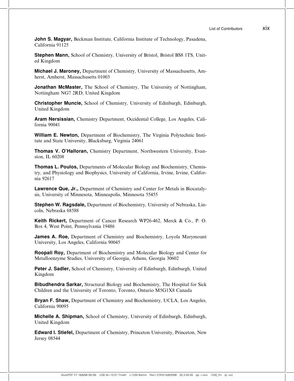John S. Magyar, Beckman Institute, California Institute of Technology, Pasadena, California 91125

Stephen Mann, School of Chemistry, University of Bristol, Bristol BS8 1TS, United Kingdom

Michael J. Maroney, Department of Chemistry, University of Massachusetts, Amherst, Amherst, Massachusetts 01003

Jonathan McMaster, The School of Chemistry, The University of Nottingham, Nottingham NG7 2RD, United Kingdom

Christopher Muncie, School of Chemistry, University of Edinburgh, Edinburgh, United Kingdom

Aram Nersissian, Chemistry Department, Occidental College, Los Angeles, California 90041

William E. Newton, Department of Biochemistry, The Virginia Polytechnic Institute and State University, Blacksburg, Virginia 24061

Thomas V. O'Halloran, Chemistry Department, Northwestern University, Evanston, IL 60208

Thomas L. Poulos, Departments of Molecular Biology and Biochemistry, Chemistry, and Physiology and Biophysics, University of California, Irvine, Irvine, California 92617

Lawrence Que, Jr., Department of Chemistry and Center for Metals in Biocatalysis, University of Minnesota, Minneapolis, Minnesota 55455

Stephen W. Ragsdale, Department of Biochemistry, University of Nebraska, Lincoln, Nebraska 68588

Keith Rickert, Department of Cancer Research WP26-462, Merck & Co., P. O. Box 4, West Point, Pennsylvania 19486

**James A. Roe, Department of Chemistry and Biochemistry, Loyola Marymount** University, Los Angeles, California 90045

Roopali Roy, Department of Biochemistry and Molecular Biology and Center for Metalloenzyme Studies, University of Georgia, Athens, Georgia 30602

Peter J. Sadler, School of Chemistry, University of Edinburgh, Edinburgh, United Kingdom

Bibudhendra Sarkar, Structural Biology and Biochemistry, The Hospital for Sick Children and the University of Toronto, Toronto, Ontario M5G1X8 Canada

Bryan F. Shaw, Department of Chemistry and Biochemistry, UCLA, Los Angeles, California 90095

Michelle A. Shipman, School of Chemistry, University of Edinburgh, Edinburgh, United Kingdom

Edward I. Stiefel, Department of Chemistry, Princeton University, Princeton, New Jersey 08544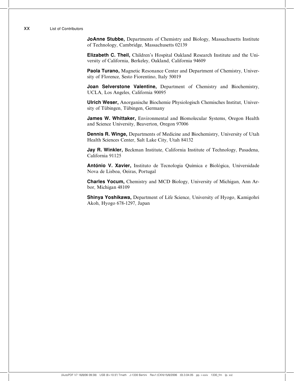#### xx List of Contributors

JoAnne Stubbe, Departments of Chemistry and Biology, Massachusetts Institute of Technology, Cambridge, Massachusetts 02139

Elizabeth C. Theil, Children's Hospital Oakland Research Institute and the University of California, Berkeley, Oakland, California 94609

Paola Turano, Magnetic Resonance Center and Department of Chemistry, University of Florence, Sesto Fiorentino, Italy 50019

Joan Selverstone Valentine, Department of Chemistry and Biochemistry, UCLA, Los Angeles, California 90095

Ulrich Weser, Anorganische Biochemie Physiologisch Chemisches Institut, University of Tübingen, Tübingen, Germany

James W. Whittaker, Environmental and Biomolecular Systems, Oregon Health and Science University, Beaverton, Oregon 97006

Dennis R. Winge, Departments of Medicine and Biochemistry, University of Utah Health Sciences Center, Salt Lake City, Utah 84132

Jay R. Winkler, Beckman Institute, California Institute of Technology, Pasadena, California 91125

António V. Xavier, Instituto de Tecnologia Química e Biológica, Universidade Nova de Lisboa, Oeiras, Portugal

Charles Yocum, Chemistry and MCD Biology, University of Michigan, Ann Arbor, Michigan 48109

Shinya Yoshikawa, Department of Life Science, University of Hyogo, Kamigohri Akoh, Hyogo 678-1297, Japan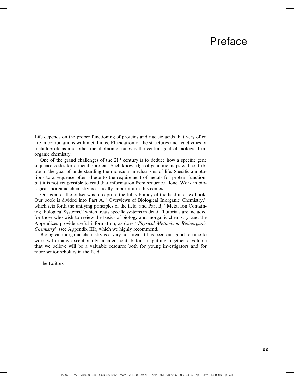### Preface

Life depends on the proper functioning of proteins and nucleic acids that very often are in combinations with metal ions. Elucidation of the structures and reactivities of metalloproteins and other metallobiomolecules is the central goal of biological inorganic chemistry.

One of the grand challenges of the  $21<sup>st</sup>$  century is to deduce how a specific gene sequence codes for a metalloprotein. Such knowledge of genomic maps will contribute to the goal of understanding the molecular mechanisms of life. Specific annotations to a sequence often allude to the requirement of metals for protein function, but it is not yet possible to read that information from sequence alone. Work in biological inorganic chemistry is critically important in this context.

Our goal at the outset was to capture the full vibrancy of the field in a textbook. Our book is divided into Part A, ''Overviews of Biological Inorganic Chemistry,'' which sets forth the unifying principles of the field, and Part B, ''Metal Ion Containing Biological Systems,'' which treats specific systems in detail. Tutorials are included for those who wish to review the basics of biology and inorganic chemistry; and the Appendices provide useful information, as does ''Physical Methods in Bioinorganic Chemistry'' (see Appendix III), which we highly recommend.

Biological inorganic chemistry is a very hot area. It has been our good fortune to work with many exceptionally talented contributors in putting together a volume that we believe will be a valuable resource both for young investigators and for more senior scholars in the field.

—The Editors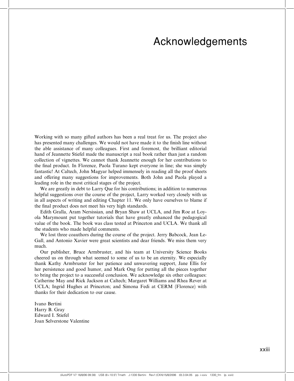## Acknowledgements

Working with so many gifted authors has been a real treat for us. The project also has presented many challenges. We would not have made it to the finish line without the able assistance of many colleagues. First and foremost, the brilliant editorial hand of Jeannette Stiefel made the manuscript a real book rather than just a random collection of vignettes. We cannot thank Jeannette enough for her contributions to the final product. In Florence, Paola Turano kept everyone in line; she was simply fantastic! At Caltech, John Magyar helped immensely in reading all the proof sheets and offering many suggestions for improvements. Both John and Paola played a leading role in the most critical stages of the project.

We are greatly in debt to Larry Que for his contributions; in addition to numerous helpful suggestions over the course of the project, Larry worked very closely with us in all aspects of writing and editing Chapter 11. We only have ourselves to blame if the final product does not meet his very high standards.

Edith Gralla, Aram Nersissian, and Bryan Shaw at UCLA, and Jim Roe at Loyola Marymount put together tutorials that have greatly enhanced the pedagogical value of the book. The book was class tested at Princeton and UCLA. We thank all the students who made helpful comments.

We lost three coauthors during the course of the project. Jerry Babcock, Jean Le-Gall, and Antonio Xavier were great scientists and dear friends. We miss them very much.

Our publisher, Bruce Armbruster, and his team at University Science Books cheered us on through what seemed to some of us to be an eternity. We especially thank Kathy Armbruster for her patience and unwavering support, Jane Ellis for her persistence and good humor, and Mark Ong for putting all the pieces together to bring the project to a successful conclusion. We acknowledge six other colleagues: Catherine May and Rick Jackson at Caltech; Margaret Williams and Rhea Rever at UCLA; Ingrid Hughes at Princeton; and Simona Fedi at CERM (Florence) with thanks for their dedication to our cause.

Ivano Bertini Harry B. Gray Edward I. Stiefel Joan Selverstone Valentine

xxiii